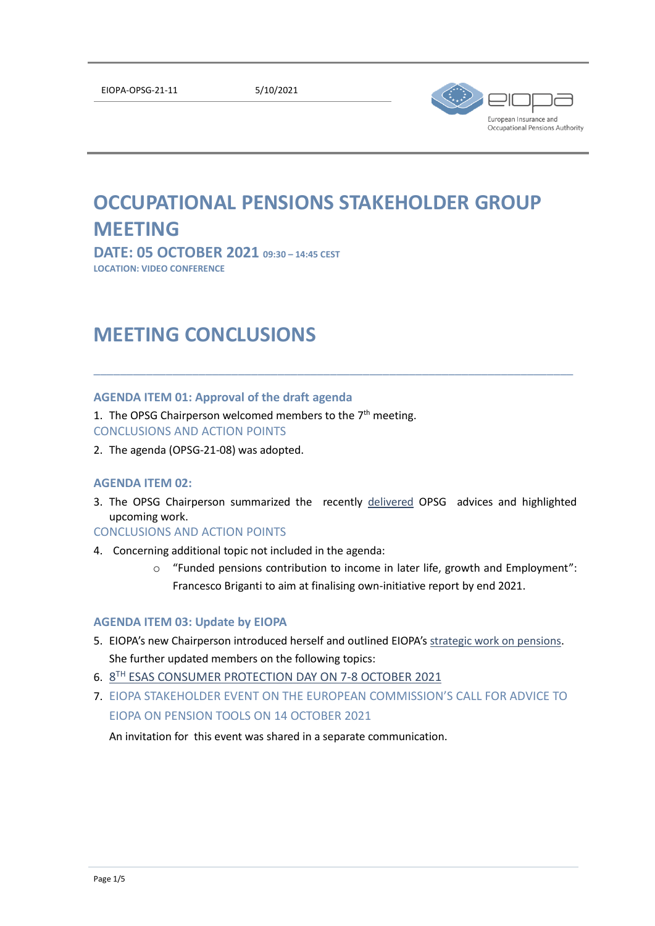

# **OCCUPATIONAL PENSIONS STAKEHOLDER GROUP MEETING**

**DATE: 05 OCTOBER 2021 09:30 – 14:45 CEST LOCATION: VIDEO CONFERENCE**

# **MEETING CONCLUSIONS**

### **AGENDA ITEM 01: Approval of the draft agenda**

1. The OPSG Chairperson welcomed members to the 7<sup>th</sup> meeting. CONCLUSIONS AND ACTION POINTS

2. The agenda (OPSG-21-08) was adopted.

#### **AGENDA ITEM 02:**

3. The OPSG Chairperson summarized the recently [delivered](https://www.eiopa.europa.eu/about/working-stakeholders/occupational-pensions-stakeholder-group_en#Adviceanddocuments) OPSG advices and highlighted upcoming work.

\_\_\_\_\_\_\_\_\_\_\_\_\_\_\_\_\_\_\_\_\_\_\_\_\_\_\_\_\_\_\_\_\_\_\_\_\_\_\_\_\_\_\_\_\_\_\_\_\_\_\_\_\_\_\_\_\_\_\_\_\_\_\_\_\_\_\_\_\_\_\_\_\_

### CONCLUSIONS AND ACTION POINTS

- 4. Concerning additional topic not included in the agenda:
	- o "Funded pensions contribution to income in later life, growth and Employment": Francesco Briganti to aim at finalising own-initiative report by end 2021.

#### **AGENDA ITEM 03: Update by EIOPA**

- 5. EIOPA's new Chairperson introduced herself and outlined EIOPA's [strategic work on pensions.](https://www.eiopa.europa.eu/media/news/eiopa-sets-out-its-strategic-priorities-coming-year_en) She further updated members on the following topics:
- 6. 8<sup>TH</sup> [ESAS CONSUMER PROTECTION DAY ON 7-8 OCTOBER 2021](https://www.eiopa.europa.eu/media/event/8th-esas-consumer-protection-day)
- 7. EIOPA STAKEHOLDER EVENT ON THE EUROPEAN COMMISSION'S CALL FOR ADVICE TO EIOPA ON PENSION TOOLS ON 14 OCTOBER 2021

An invitation for this event was shared in a separate communication.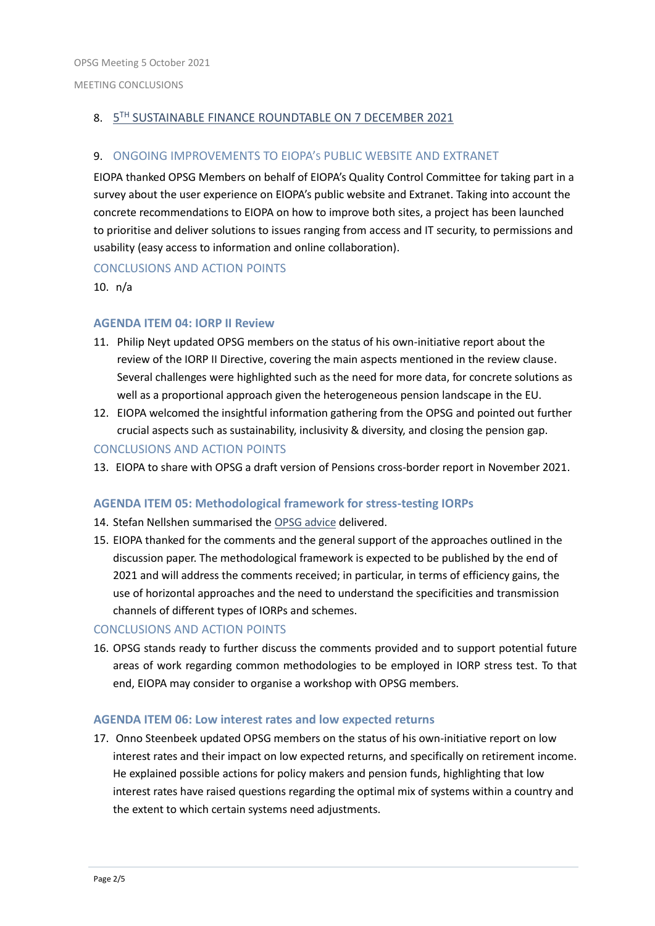## 8. 5TH SUSTAINABLE FINANCE [ROUNDTABLE ON 7 DECEMBER 2021](https://www.eiopa.europa.eu/media/event/5th-eiopa-sustainable-finance-roundtable)

## 9. ONGOING IMPROVEMENTS TO EIOPA'S PUBLIC WEBSITE AND EXTRANET

EIOPA thanked OPSG Members on behalf of EIOPA's Quality Control Committee for taking part in a survey about the user experience on EIOPA's public website and Extranet. Taking into account the concrete recommendations to EIOPA on how to improve both sites, a project has been launched to prioritise and deliver solutions to issues ranging from access and IT security, to permissions and usability (easy access to information and online collaboration).

### CONCLUSIONS AND ACTION POINTS

10. n/a

### **AGENDA ITEM 04: IORP II Review**

- 11. Philip Neyt updated OPSG members on the status of his own-initiative report about the review of the IORP II Directive, covering the main aspects mentioned in the review clause. Several challenges were highlighted such as the need for more data, for concrete solutions as well as a proportional approach given the heterogeneous pension landscape in the EU.
- 12. EIOPA welcomed the insightful information gathering from the OPSG and pointed out further crucial aspects such as sustainability, inclusivity & diversity, and closing the pension gap. CONCLUSIONS AND ACTION POINTS
- 13. EIOPA to share with OPSG a draft version of Pensions cross-border report in November 2021.

### **AGENDA ITEM 05: Methodological framework for stress-testing IORPs**

- 14. Stefan Nellshen summarised th[e OPSG advice](https://www.eiopa.europa.eu/document-library/shg-advice/opsg-advice-methodological-framework-stress-testing-iorps) delivered.
- 15. EIOPA thanked for the comments and the general support of the approaches outlined in the discussion paper. The methodological framework is expected to be published by the end of 2021 and will address the comments received; in particular, in terms of efficiency gains, the use of horizontal approaches and the need to understand the specificities and transmission channels of different types of IORPs and schemes.

### CONCLUSIONS AND ACTION POINTS

16. OPSG stands ready to further discuss the comments provided and to support potential future areas of work regarding common methodologies to be employed in IORP stress test. To that end, EIOPA may consider to organise a workshop with OPSG members.

### **AGENDA ITEM 06: Low interest rates and low expected returns**

17. Onno Steenbeek updated OPSG members on the status of his own-initiative report on low interest rates and their impact on low expected returns, and specifically on retirement income. He explained possible actions for policy makers and pension funds, highlighting that low interest rates have raised questions regarding the optimal mix of systems within a country and the extent to which certain systems need adjustments.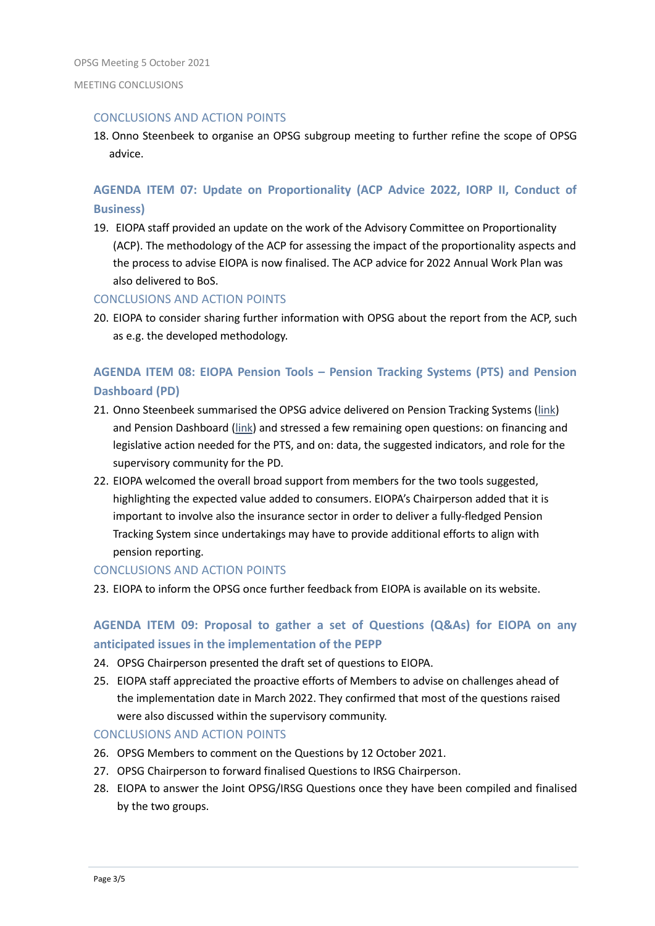#### MEETING CONCLUSIONS

### CONCLUSIONS AND ACTION POINTS

18. Onno Steenbeek to organise an OPSG subgroup meeting to further refine the scope of OPSG advice.

# **AGENDA ITEM 07: Update on Proportionality (ACP Advice 2022, IORP II, Conduct of Business)**

19. EIOPA staff provided an update on the work of the Advisory Committee on Proportionality (ACP). The methodology of the ACP for assessing the impact of the proportionality aspects and the process to advise EIOPA is now finalised. The ACP advice for 2022 Annual Work Plan was also delivered to BoS.

### CONCLUSIONS AND ACTION POINTS

20. EIOPA to consider sharing further information with OPSG about the report from the ACP, such as e.g. the developed methodology.

# **AGENDA ITEM 08: EIOPA Pension Tools – Pension Tracking Systems (PTS) and Pension Dashboard (PD)**

- 21. Onno Steenbeek summarised the OPSG advice delivered on Pension Tracking Systems [\(link\)](https://www.eiopa.europa.eu/sites/default/files/publications/administrative/cvs/opsg/opsg-21-30_advice-pts.pdf) and Pension Dashboard [\(link\)](https://www.eiopa.europa.eu/sites/default/files/publications/administrative/cvs/opsg/opsg-21-31-advice-pension-dashboard.pdf) and stressed a few remaining open questions: on financing and legislative action needed for the PTS, and on: data, the suggested indicators, and role for the supervisory community for the PD.
- 22. EIOPA welcomed the overall broad support from members for the two tools suggested, highlighting the expected value added to consumers. EIOPA's Chairperson added that it is important to involve also the insurance sector in order to deliver a fully-fledged Pension Tracking System since undertakings may have to provide additional efforts to align with pension reporting.

### CONCLUSIONS AND ACTION POINTS

23. EIOPA to inform the OPSG once further feedback from EIOPA is available on its website.

## **AGENDA ITEM 09: Proposal to gather a set of Questions (Q&As) for EIOPA on any anticipated issues in the implementation of the PEPP**

- 24. OPSG Chairperson presented the draft set of questions to EIOPA.
- 25. EIOPA staff appreciated the proactive efforts of Members to advise on challenges ahead of the implementation date in March 2022. They confirmed that most of the questions raised were also discussed within the supervisory community.

### CONCLUSIONS AND ACTION POINTS

- 26. OPSG Members to comment on the Questions by 12 October 2021.
- 27. OPSG Chairperson to forward finalised Questions to IRSG Chairperson.
- 28. EIOPA to answer the Joint OPSG/IRSG Questions once they have been compiled and finalised by the two groups.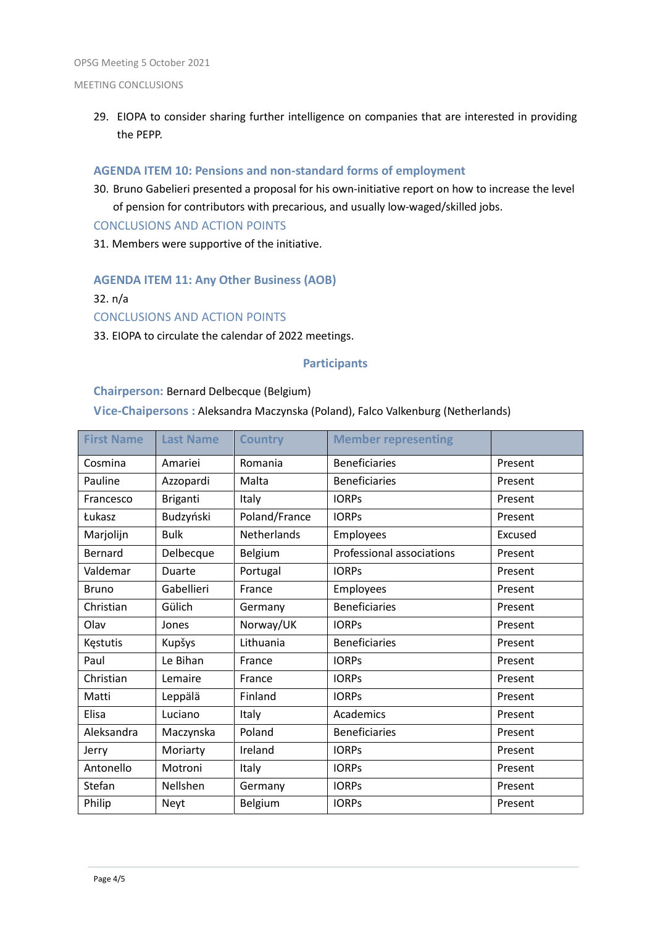#### MEETING CONCLUSIONS

29. EIOPA to consider sharing further intelligence on companies that are interested in providing the PEPP.

### **AGENDA ITEM 10: Pensions and non-standard forms of employment**

30. Bruno Gabelieri presented a proposal for his own-initiative report on how to increase the level of pension for contributors with precarious, and usually low-waged/skilled jobs.

### CONCLUSIONS AND ACTION POINTS

31. Members were supportive of the initiative.

### **AGENDA ITEM 11: Any Other Business (AOB)**

32. n/a

### CONCLUSIONS AND ACTION POINTS

33. EIOPA to circulate the calendar of 2022 meetings.

### **Participants**

### **Chairperson:** Bernard Delbecque (Belgium)

**Vice-Chaipersons :** Aleksandra Maczynska (Poland), Falco Valkenburg (Netherlands)

| <b>First Name</b> | <b>Last Name</b> | <b>Country</b> | <b>Member representing</b> |         |
|-------------------|------------------|----------------|----------------------------|---------|
| Cosmina           | Amariei          | Romania        | <b>Beneficiaries</b>       | Present |
| Pauline           | Azzopardi        | Malta          | <b>Beneficiaries</b>       | Present |
| Francesco         | <b>Briganti</b>  | Italy          | <b>IORPS</b>               | Present |
| Łukasz            | Budzyński        | Poland/France  | <b>IORPs</b>               | Present |
| Marjolijn         | <b>Bulk</b>      | Netherlands    | Employees                  | Excused |
| <b>Bernard</b>    | Delbecque        | Belgium        | Professional associations  | Present |
| Valdemar          | Duarte           | Portugal       | <b>IORPS</b>               | Present |
| <b>Bruno</b>      | Gabellieri       | France         | Employees                  | Present |
| Christian         | Gülich           | Germany        | <b>Beneficiaries</b>       | Present |
| Olav              | Jones            | Norway/UK      | <b>IORPs</b>               | Present |
| Kęstutis          | Kupšys           | Lithuania      | <b>Beneficiaries</b>       | Present |
| Paul              | Le Bihan         | France         | <b>IORPS</b>               | Present |
| Christian         | Lemaire          | France         | <b>IORPS</b>               | Present |
| Matti             | Leppälä          | Finland        | <b>IORPs</b>               | Present |
| Elisa             | Luciano          | Italy          | Academics                  | Present |
| Aleksandra        | Maczynska        | Poland         | <b>Beneficiaries</b>       | Present |
| Jerry             | Moriarty         | Ireland        | <b>IORPS</b>               | Present |
| Antonello         | Motroni          | Italy          | <b>IORPS</b>               | Present |
| Stefan            | Nellshen         | Germany        | <b>IORPS</b>               | Present |
| Philip            | Neyt             | Belgium        | <b>IORPs</b>               | Present |